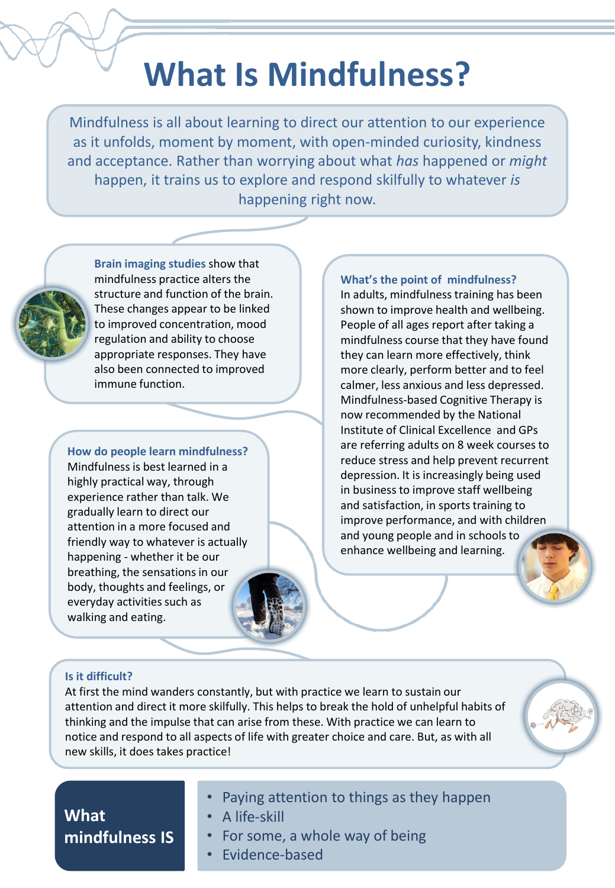# **What Is Mindfulness?**

Mindfulness is all about learning to direct our attention to our experience as it unfolds, moment by moment, with open-minded curiosity, kindness and acceptance. Rather than worrying about what *has* happened or *might* happen, it trains us to explore and respond skilfully to whatever *is*  happening right now.

**Brain imaging studies** show that mindfulness practice alters the structure and function of the brain. These changes appear to be linked to improved concentration, mood regulation and ability to choose appropriate responses. They have also been connected to improved immune function.

**How do people learn mindfulness?** Mindfulness is best learned in a highly practical way, through experience rather than talk. We gradually learn to direct our attention in a more focused and friendly way to whatever is actually happening - whether it be our breathing, the sensations in our body, thoughts and feelings, or everyday activities such as walking and eating.

**What's the point of mindfulness?** In adults, mindfulness training has been shown to improve health and wellbeing. People of all ages report after taking a mindfulness course that they have found they can learn more effectively, think more clearly, perform better and to feel calmer, less anxious and less depressed. Mindfulness-based Cognitive Therapy is now recommended by the National Institute of Clinical Excellence and GPs are referring adults on 8 week courses to reduce stress and help prevent recurrent depression. It is increasingly being used in business to improve staff wellbeing and satisfaction, in sports training to improve performance, and with children and young people and in schools to enhance wellbeing and learning.

### **Is it difficult?**

At first the mind wanders constantly, but with practice we learn to sustain our attention and direct it more skilfully. This helps to break the hold of unhelpful habits of thinking and the impulse that can arise from these. With practice we can learn to notice and respond to all aspects of life with greater choice and care. But, as with all new skills, it does takes practice!



- Paying attention to things as they happen
- A life-skill
- For some, a whole way of being
- Evidence-based